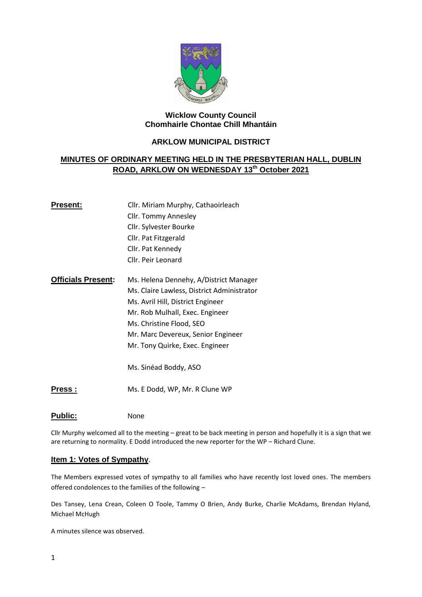

# **Wicklow County Council Chomhairle Chontae Chill Mhantáin**

# **ARKLOW MUNICIPAL DISTRICT**

# **MINUTES OF ORDINARY MEETING HELD IN THE PRESBYTERIAN HALL, DUBLIN ROAD, ARKLOW ON WEDNESDAY 13th October 2021**

| Present:                  | Cllr. Miriam Murphy, Cathaoirleach         |  |
|---------------------------|--------------------------------------------|--|
|                           | Cllr. Tommy Annesley                       |  |
|                           | Cllr. Sylvester Bourke                     |  |
|                           | Cllr. Pat Fitzgerald                       |  |
|                           | Cllr. Pat Kennedy                          |  |
|                           | Cllr. Peir Leonard                         |  |
| <b>Officials Present:</b> | Ms. Helena Dennehy, A/District Manager     |  |
|                           | Ms. Claire Lawless, District Administrator |  |
|                           | Ms. Avril Hill, District Engineer          |  |
|                           | Mr. Rob Mulhall, Exec. Engineer            |  |
|                           | Ms. Christine Flood, SEO                   |  |
|                           | Mr. Marc Devereux, Senior Engineer         |  |
|                           | Mr. Tony Quirke, Exec. Engineer            |  |
|                           | Ms. Sinéad Boddy, ASO                      |  |

**Press :** Ms. E Dodd, WP, Mr. R Clune WP

# Public: None

Cllr Murphy welcomed all to the meeting – great to be back meeting in person and hopefully it is a sign that we are returning to normality. E Dodd introduced the new reporter for the WP – Richard Clune.

## **Item 1: Votes of Sympathy**.

The Members expressed votes of sympathy to all families who have recently lost loved ones. The members offered condolences to the families of the following –

Des Tansey, Lena Crean, Coleen O Toole, Tammy O Brien, Andy Burke, Charlie McAdams, Brendan Hyland, Michael McHugh

A minutes silence was observed.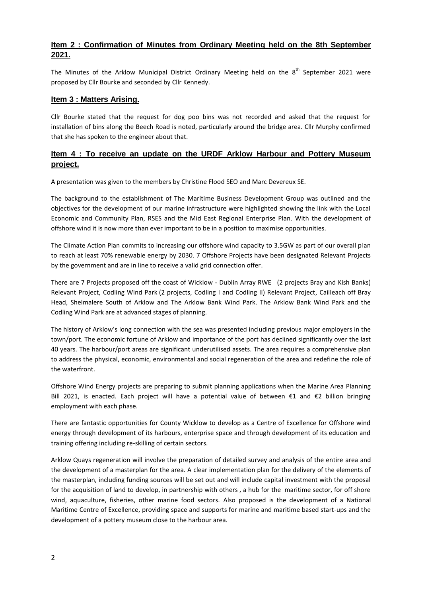# **Item 2 : Confirmation of Minutes from Ordinary Meeting held on the 8th September 2021.**

The Minutes of the Arklow Municipal District Ordinary Meeting held on the 8<sup>th</sup> September 2021 were proposed by Cllr Bourke and seconded by Cllr Kennedy.

## **Item 3 : Matters Arising.**

Cllr Bourke stated that the request for dog poo bins was not recorded and asked that the request for installation of bins along the Beech Road is noted, particularly around the bridge area. Cllr Murphy confirmed that she has spoken to the engineer about that.

# **Item 4 : To receive an update on the URDF Arklow Harbour and Pottery Museum project.**

A presentation was given to the members by Christine Flood SEO and Marc Devereux SE.

The background to the establishment of The Maritime Business Development Group was outlined and the objectives for the development of our marine infrastructure were highlighted showing the link with the Local Economic and Community Plan, RSES and the Mid East Regional Enterprise Plan. With the development of offshore wind it is now more than ever important to be in a position to maximise opportunities.

The Climate Action Plan commits to increasing our offshore wind capacity to 3.5GW as part of our overall plan to reach at least 70% renewable energy by 2030. 7 Offshore Projects have been designated Relevant Projects by the government and are in line to receive a valid grid connection offer.

There are 7 Projects proposed off the coast of Wicklow - Dublin Array RWE (2 projects Bray and Kish Banks) Relevant Project, Codling Wind Park (2 projects, Codling I and Codling II) Relevant Project, Cailleach off Bray Head, Shelmalere South of Arklow and The Arklow Bank Wind Park. The Arklow Bank Wind Park and the Codling Wind Park are at advanced stages of planning.

The history of Arklow's long connection with the sea was presented including previous major employers in the town/port. The economic fortune of Arklow and importance of the port has declined significantly over the last 40 years. The harbour/port areas are significant underutilised assets. The area requires a comprehensive plan to address the physical, economic, environmental and social regeneration of the area and redefine the role of the waterfront.

Offshore Wind Energy projects are preparing to submit planning applications when the Marine Area Planning Bill 2021, is enacted. Each project will have a potential value of between €1 and €2 billion bringing employment with each phase.

There are fantastic opportunities for County Wicklow to develop as a Centre of Excellence for Offshore wind energy through development of its harbours, enterprise space and through development of its education and training offering including re-skilling of certain sectors.

Arklow Quays regeneration will involve the preparation of detailed survey and analysis of the entire area and the development of a masterplan for the area. A clear implementation plan for the delivery of the elements of the masterplan, including funding sources will be set out and will include capital investment with the proposal for the acquisition of land to develop, in partnership with others, a hub for the maritime sector, for off shore wind, aquaculture, fisheries, other marine food sectors. Also proposed is the development of a National Maritime Centre of Excellence, providing space and supports for marine and maritime based start-ups and the development of a pottery museum close to the harbour area.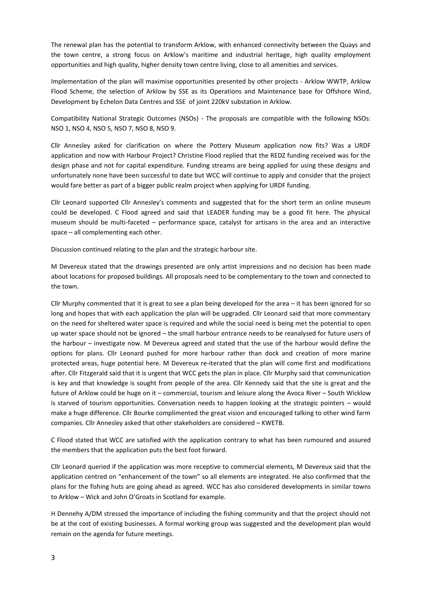The renewal plan has the potential to transform Arklow, with enhanced connectivity between the Quays and the town centre, a strong focus on Arklow's maritime and industrial heritage, high quality employment opportunities and high quality, higher density town centre living, close to all amenities and services.

Implementation of the plan will maximise opportunities presented by other projects - Arklow WWTP, Arklow Flood Scheme, the selection of Arklow by SSE as its Operations and Maintenance base for Offshore Wind, Development by Echelon Data Centres and SSE of joint 220kV substation in Arklow.

Compatibility National Strategic Outcomes (NSOs) - The proposals are compatible with the following NSOs: NSO 1, NSO 4, NSO 5, NSO 7, NSO 8, NSO 9.

Cllr Annesley asked for clarification on where the Pottery Museum application now fits? Was a URDF application and now with Harbour Project? Christine Flood replied that the REDZ funding received was for the design phase and not for capital expenditure. Funding streams are being applied for using these designs and unfortunately none have been successful to date but WCC will continue to apply and consider that the project would fare better as part of a bigger public realm project when applying for URDF funding.

Cllr Leonard supported Cllr Annesley's comments and suggested that for the short term an online museum could be developed. C Flood agreed and said that LEADER funding may be a good fit here. The physical museum should be multi-faceted – performance space, catalyst for artisans in the area and an interactive space – all complementing each other.

Discussion continued relating to the plan and the strategic harbour site.

M Devereux stated that the drawings presented are only artist impressions and no decision has been made about locations for proposed buildings. All proposals need to be complementary to the town and connected to the town.

Cllr Murphy commented that it is great to see a plan being developed for the area – it has been ignored for so long and hopes that with each application the plan will be upgraded. Cllr Leonard said that more commentary on the need for sheltered water space is required and while the social need is being met the potential to open up water space should not be ignored – the small harbour entrance needs to be reanalysed for future users of the harbour – investigate now. M Devereux agreed and stated that the use of the harbour would define the options for plans. Cllr Leonard pushed for more harbour rather than dock and creation of more marine protected areas, huge potential here. M Devereux re-iterated that the plan will come first and modifications after. Cllr Fitzgerald said that it is urgent that WCC gets the plan in place. Cllr Murphy said that communication is key and that knowledge is sought from people of the area. Cllr Kennedy said that the site is great and the future of Arklow could be huge on it – commercial, tourism and leisure along the Avoca River – South Wicklow is starved of tourism opportunities. Conversation needs to happen looking at the strategic pointers – would make a huge difference. Cllr Bourke complimented the great vision and encouraged talking to other wind farm companies. Cllr Annesley asked that other stakeholders are considered – KWETB.

C Flood stated that WCC are satisfied with the application contrary to what has been rumoured and assured the members that the application puts the best foot forward.

Cllr Leonard queried if the application was more receptive to commercial elements, M Devereux said that the application centred on "enhancement of the town" so all elements are integrated. He also confirmed that the plans for the fishing huts are going ahead as agreed. WCC has also considered developments in similar towns to Arklow – Wick and John O'Groats in Scotland for example.

H Dennehy A/DM stressed the importance of including the fishing community and that the project should not be at the cost of existing businesses. A formal working group was suggested and the development plan would remain on the agenda for future meetings.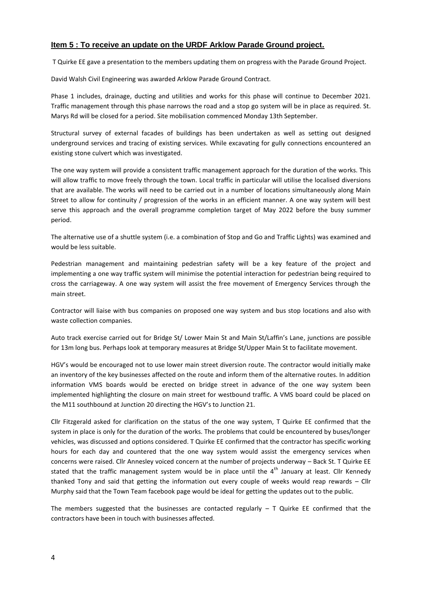## **Item 5 : To receive an update on the URDF Arklow Parade Ground project.**

T Quirke EE gave a presentation to the members updating them on progress with the Parade Ground Project.

David Walsh Civil Engineering was awarded Arklow Parade Ground Contract.

Phase 1 includes, drainage, ducting and utilities and works for this phase will continue to December 2021. Traffic management through this phase narrows the road and a stop go system will be in place as required. St. Marys Rd will be closed for a period. Site mobilisation commenced Monday 13th September.

Structural survey of external facades of buildings has been undertaken as well as setting out designed underground services and tracing of existing services. While excavating for gully connections encountered an existing stone culvert which was investigated.

The one way system will provide a consistent traffic management approach for the duration of the works. This will allow traffic to move freely through the town. Local traffic in particular will utilise the localised diversions that are available. The works will need to be carried out in a number of locations simultaneously along Main Street to allow for continuity / progression of the works in an efficient manner. A one way system will best serve this approach and the overall programme completion target of May 2022 before the busy summer period.

The alternative use of a shuttle system (i.e. a combination of Stop and Go and Traffic Lights) was examined and would be less suitable.

Pedestrian management and maintaining pedestrian safety will be a key feature of the project and implementing a one way traffic system will minimise the potential interaction for pedestrian being required to cross the carriageway. A one way system will assist the free movement of Emergency Services through the main street.

Contractor will liaise with bus companies on proposed one way system and bus stop locations and also with waste collection companies.

Auto track exercise carried out for Bridge St/ Lower Main St and Main St/Laffin's Lane, junctions are possible for 13m long bus. Perhaps look at temporary measures at Bridge St/Upper Main St to facilitate movement.

HGV's would be encouraged not to use lower main street diversion route. The contractor would initially make an inventory of the key businesses affected on the route and inform them of the alternative routes. In addition information VMS boards would be erected on bridge street in advance of the one way system been implemented highlighting the closure on main street for westbound traffic. A VMS board could be placed on the M11 southbound at Junction 20 directing the HGV's to Junction 21.

Cllr Fitzgerald asked for clarification on the status of the one way system, T Quirke EE confirmed that the system in place is only for the duration of the works. The problems that could be encountered by buses/longer vehicles, was discussed and options considered. T Quirke EE confirmed that the contractor has specific working hours for each day and countered that the one way system would assist the emergency services when concerns were raised. Cllr Annesley voiced concern at the number of projects underway – Back St. T Quirke EE stated that the traffic management system would be in place until the  $4<sup>th</sup>$  January at least. Cllr Kennedy thanked Tony and said that getting the information out every couple of weeks would reap rewards – Cllr Murphy said that the Town Team facebook page would be ideal for getting the updates out to the public.

The members suggested that the businesses are contacted regularly  $-$  T Quirke EE confirmed that the contractors have been in touch with businesses affected.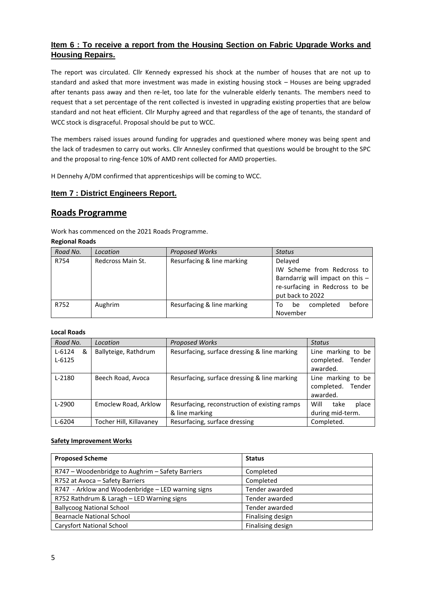# **Item 6 : To receive a report from the Housing Section on Fabric Upgrade Works and Housing Repairs.**

The report was circulated. Cllr Kennedy expressed his shock at the number of houses that are not up to standard and asked that more investment was made in existing housing stock – Houses are being upgraded after tenants pass away and then re-let, too late for the vulnerable elderly tenants. The members need to request that a set percentage of the rent collected is invested in upgrading existing properties that are below standard and not heat efficient. Cllr Murphy agreed and that regardless of the age of tenants, the standard of WCC stock is disgraceful. Proposal should be put to WCC.

The members raised issues around funding for upgrades and questioned where money was being spent and the lack of tradesmen to carry out works. Cllr Annesley confirmed that questions would be brought to the SPC and the proposal to ring-fence 10% of AMD rent collected for AMD properties.

H Dennehy A/DM confirmed that apprenticeships will be coming to WCC.

## **Item 7 : District Engineers Report.**

# **Roads Programme**

Work has commenced on the 2021 Roads Programme.

#### **Regional Roads**

| Road No. | Location          | <b>Proposed Works</b>      | <b>Status</b>                    |
|----------|-------------------|----------------------------|----------------------------------|
| R754     | Redcross Main St. | Resurfacing & line marking | Delayed                          |
|          |                   |                            | IW Scheme from Redcross to       |
|          |                   |                            | Barndarrig will impact on this - |
|          |                   |                            | re-surfacing in Redcross to be   |
|          |                   |                            | put back to 2022                 |
| R752     | Aughrim           | Resurfacing & line marking | before<br>completed<br>be<br>To  |
|          |                   |                            | November                         |

### **Local Roads**

| Road No.                      | Location                | <b>Proposed Works</b>                                           | <b>Status</b>                                          |
|-------------------------------|-------------------------|-----------------------------------------------------------------|--------------------------------------------------------|
| $L - 6124$<br>&<br>$L - 6125$ | Ballyteige, Rathdrum    | Resurfacing, surface dressing & line marking                    | Line marking to be<br>completed.<br>Tender<br>awarded. |
| $L-2180$                      | Beech Road, Avoca       | Resurfacing, surface dressing & line marking                    | Line marking to be<br>completed.<br>Tender<br>awarded. |
| $L-2900$                      | Emoclew Road, Arklow    | Resurfacing, reconstruction of existing ramps<br>& line marking | Will<br>take<br>place<br>during mid-term.              |
| $L - 6204$                    | Tocher Hill, Killavanev | Resurfacing, surface dressing                                   | Completed.                                             |

### **Safety Improvement Works**

| <b>Proposed Scheme</b>                             | <b>Status</b>     |
|----------------------------------------------------|-------------------|
| R747 - Woodenbridge to Aughrim - Safety Barriers   | Completed         |
| R752 at Avoca - Safety Barriers                    | Completed         |
| R747 - Arklow and Woodenbridge - LED warning signs | Tender awarded    |
| R752 Rathdrum & Laragh - LED Warning signs         | Tender awarded    |
| <b>Ballycoog National School</b>                   | Tender awarded    |
| <b>Bearnacle National School</b>                   | Finalising design |
| <b>Carysfort National School</b>                   | Finalising design |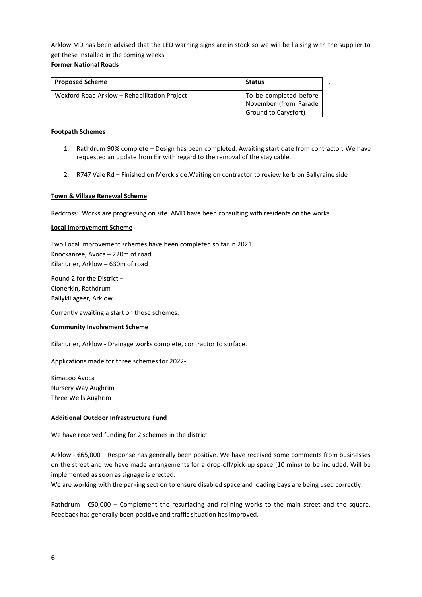Arklow MD has been advised that the LED warning signs are in stock so we will be liaising with the supplier to get these installed in the coming weeks.

### **Former National Roads**

| <b>Proposed Scheme</b>                       | Status                                          |  |
|----------------------------------------------|-------------------------------------------------|--|
| Wexford Road Arklow - Rehabilitation Project | To be completed before<br>November (from Parade |  |
|                                              | <b>Ground to Carysfort)</b>                     |  |

### **Footpath Schemes**

- 1. Rathdrum 90% complete Design has been completed. Awaiting start date from contractor. We have requested an update from Eir with regard to the removal of the stay cable.
- 2. R747 Vale Rd Finished on Merck side.Waiting on contractor to review kerb on Ballyraine side

### **Town & Village Renewal Scheme**

Redcross: Works are progressing on site. AMD have been consulting with residents on the works.

### **Local Improvement Scheme**

Two Local improvement schemes have been completed so far in 2021. Knockanree, Avoca – 220m of road Kilahurler, Arklow – 630m of road

Round 2 for the District – Clonerkin, Rathdrum Ballykillageer, Arklow

Currently awaiting a start on those schemes.

### **Community Involvement Scheme**

Kilahurler, Arklow - Drainage works complete, contractor to surface.

Applications made for three schemes for 2022-

Kimacoo Avoca Nursery Way Aughrim Three Wells Aughrim

### **Additional Outdoor Infrastructure Fund**

We have received funding for 2 schemes in the district

Arklow - €65,000 – Response has generally been positive. We have received some comments from businesses on the street and we have made arrangements for a drop-off/pick-up space (10 mins) to be included. Will be implemented as soon as signage is erected.

We are working with the parking section to ensure disabled space and loading bays are being used correctly.

Rathdrum - €50,000 – Complement the resurfacing and relining works to the main street and the square. Feedback has generally been positive and traffic situation has improved.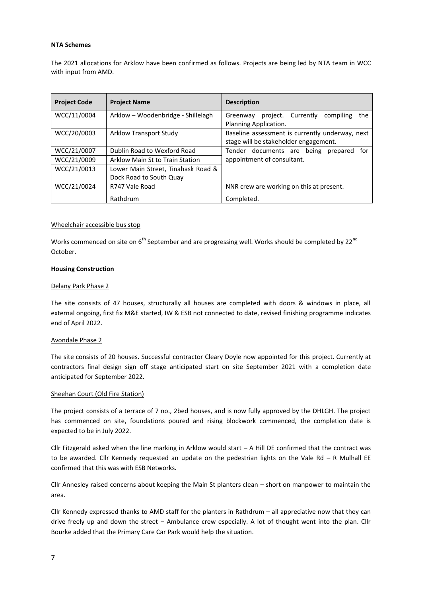#### **NTA Schemes**

The 2021 allocations for Arklow have been confirmed as follows. Projects are being led by NTA team in WCC with input from AMD.

| <b>Project Code</b> | <b>Project Name</b>                | <b>Description</b>                                                          |
|---------------------|------------------------------------|-----------------------------------------------------------------------------|
| WCC/11/0004         | Arklow - Woodenbridge - Shillelagh | project. Currently<br>compiling<br>the<br>Greenway<br>Planning Application. |
|                     |                                    |                                                                             |
| WCC/20/0003         | Arklow Transport Study             | Baseline assessment is currently underway, next                             |
|                     |                                    | stage will be stakeholder engagement.                                       |
| WCC/21/0007         | Dublin Road to Wexford Road        | Tender documents are being prepared<br>for                                  |
| WCC/21/0009         | Arklow Main St to Train Station    | appointment of consultant.                                                  |
| WCC/21/0013         | Lower Main Street, Tinahask Road & |                                                                             |
|                     | Dock Road to South Quay            |                                                                             |
| WCC/21/0024         | R747 Vale Road                     | NNR crew are working on this at present.                                    |
|                     | Rathdrum                           | Completed.                                                                  |

#### Wheelchair accessible bus stop

Works commenced on site on  $6<sup>th</sup>$  September and are progressing well. Works should be completed by 22 $<sup>nd</sup>$ </sup> October.

#### **Housing Construction**

#### Delany Park Phase 2

The site consists of 47 houses, structurally all houses are completed with doors & windows in place, all external ongoing, first fix M&E started, IW & ESB not connected to date, revised finishing programme indicates end of April 2022.

#### Avondale Phase 2

The site consists of 20 houses. Successful contractor Cleary Doyle now appointed for this project. Currently at contractors final design sign off stage anticipated start on site September 2021 with a completion date anticipated for September 2022.

#### Sheehan Court (Old Fire Station)

The project consists of a terrace of 7 no., 2bed houses, and is now fully approved by the DHLGH. The project has commenced on site, foundations poured and rising blockwork commenced, the completion date is expected to be in July 2022.

Cllr Fitzgerald asked when the line marking in Arklow would start – A Hill DE confirmed that the contract was to be awarded. Cllr Kennedy requested an update on the pedestrian lights on the Vale Rd  $-$  R Mulhall EE confirmed that this was with ESB Networks.

Cllr Annesley raised concerns about keeping the Main St planters clean – short on manpower to maintain the area.

Cllr Kennedy expressed thanks to AMD staff for the planters in Rathdrum – all appreciative now that they can drive freely up and down the street – Ambulance crew especially. A lot of thought went into the plan. Cllr Bourke added that the Primary Care Car Park would help the situation.